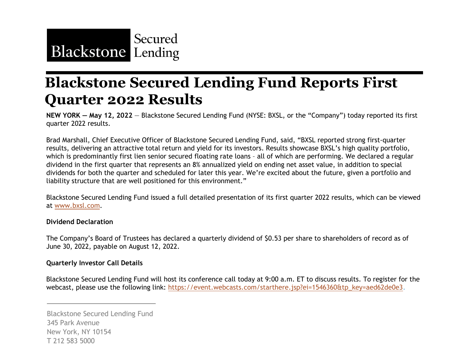

## **Blackstone Secured Lending Fund Reports First Quarter 2022 Results**

**NEW YORK — May 12, 2022** — Blackstone Secured Lending Fund (NYSE: BXSL, or the "Company") today reported its first quarter 2022 results.

Brad Marshall, Chief Executive Officer of Blackstone Secured Lending Fund, said, "BXSL reported strong first-quarter results, delivering an attractive total return and yield for its investors. Results showcase BXSL's high quality portfolio, which is predominantly first lien senior secured floating rate loans – all of which are performing. We declared a regular dividend in the first quarter that represents an 8% annualized yield on ending net asset value, in addition to special dividends for both the quarter and scheduled for later this year. We're excited about the future, given a portfolio and liability structure that are well positioned for this environment."

Blackstone Secured Lending Fund issued a full detailed presentation of its first quarter 2022 results, which can be viewed at www.bxsl.com.

#### **Dividend Declaration**

The Company's Board of Trustees has declared a quarterly dividend of \$0.53 per share to shareholders of record as of June 30, 2022, payable on August 12, 2022.

#### **Quarterly Investor Call Details**

Blackstone Secured Lending Fund will host its conference call today at 9:00 a.m. ET to discuss results. To register for the webcast, please use the following link: https://event.webcasts.com/starthere.jsp?ei=1546360&tp\_key=aed62de0e3.

Blackstone Secured Lending Fund 345 Park Avenue New York, NY 10154 T 212 583 5000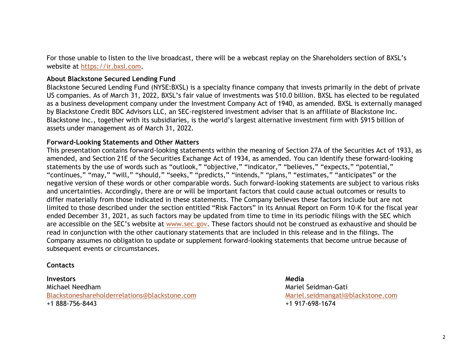For those unable to listen to the live broadcast, there will be a webcast replay on the Shareholders section of BXSL's website at <u>https://ir.bxsl.com</u>.

#### **About Blackstone Secured Lending Fund**

Blackstone Secured Lending Fund (NYSE:BXSL) is a specialty finance company that invests primarily in the debt of private US companies. As of March 31, 2022, BXSL's fair value of investments was \$10.0 billion. BXSL has elected to be regulated as a business development company under the Investment Company Act of 1940, as amended. BXSL is externally managed by Blackstone Credit BDC Advisors LLC, an SEC-registered investment adviser that is an affiliate of Blackstone Inc. Blackstone Inc., together with its subsidiaries, is the world's largest alternative investment firm with \$915 billion of assets under management as of March 31, 2022.

#### **Forward-Looking Statements and Other Matters**

This presentation contains forward-looking statements within the meaning of Section 27A of the Securities Act of 1933, as amended, and Section 21E of the Securities Exchange Act of 1934, as amended. You can identify these forward-looking statements by the use of words such as "outlook," "objective," "indicator," "believes," "expects," "potential," "continues," "may," "will," "should," "seeks," "predicts," "intends," "plans," "estimates," "anticipates" or the negative version of these words or other comparable words. Such forward-looking statements are subject to various risks and uncertainties. Accordingly, there are or will be important factors that could cause actual outcomes or results to differ materially from those indicated in these statements. The Company believes these factors include but are not limited to those described under the section entitled "Risk Factors" in its Annual Report on Form 10-K for the fiscal year ended December 31, 2021, as such factors may be updated from time to time in its periodic filings with the SEC which are accessible on the SEC's website at www.sec.gov. These factors should not be construed as exhaustive and should be read in conjunction with the other cautionary statements that are included in this release and in the filings. The Company assumes no obligation to update or supplement forward-looking statements that become untrue because of subsequent events or circumstances.

#### **Contacts**

#### **Investors**

Michael NeedhamBlackstoneshareholderrelations@blackstone.com +1 888-756-8443

**Media**Mariel Seidman-GatiMariel.seidmangati@blackstone.com +1 917-698-1674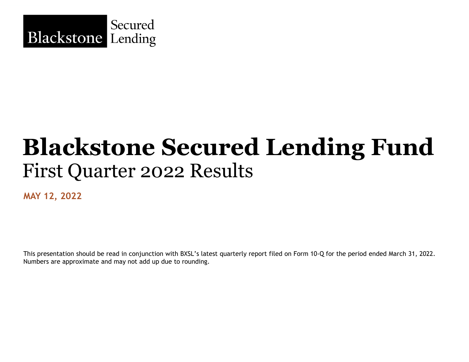

## **Blackstone Secured Lending Fund**  First Quarter 2022 Results

**MAY 12, 2022**

This presentation should be read in conjunction with BXSL's latest quarterly report filed on Form 10-Q for the period ended March 31, 2022. Numbers are approximate and may not add up due to rounding.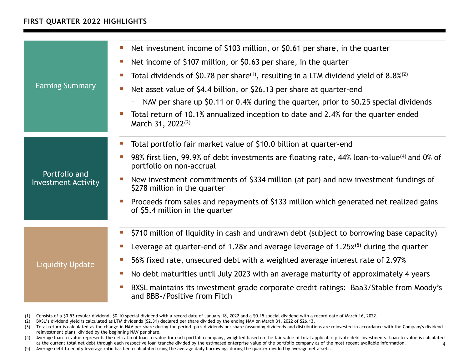## **FIRST QUARTER 2022 HIGHLIGHTS**

|                                             | Net investment income of \$103 million, or \$0.61 per share, in the quarter<br>$\mathcal{L}_{\mathcal{A}}$<br>Net income of \$107 million, or \$0.63 per share, in the quarter<br>m. |  |  |  |  |  |  |  |
|---------------------------------------------|--------------------------------------------------------------------------------------------------------------------------------------------------------------------------------------|--|--|--|--|--|--|--|
| <b>Earning Summary</b>                      | Total dividends of \$0.78 per share <sup>(1)</sup> , resulting in a LTM dividend yield of 8.8% <sup>(2)</sup><br>$\mathcal{L}_{\mathcal{A}}$                                         |  |  |  |  |  |  |  |
|                                             | Net asset value of \$4.4 billion, or \$26.13 per share at quarter-end                                                                                                                |  |  |  |  |  |  |  |
|                                             | NAV per share up \$0.11 or 0.4% during the quarter, prior to \$0.25 special dividends                                                                                                |  |  |  |  |  |  |  |
|                                             | Total return of 10.1% annualized inception to date and 2.4% for the quarter ended<br>March 31, 2022 <sup>(3)</sup>                                                                   |  |  |  |  |  |  |  |
|                                             | Total portfolio fair market value of \$10.0 billion at quarter-end                                                                                                                   |  |  |  |  |  |  |  |
| Portfolio and<br><b>Investment Activity</b> | 98% first lien, 99.9% of debt investments are floating rate, 44% loan-to-value <sup>(4)</sup> and 0% of<br>portfolio on non-accrual                                                  |  |  |  |  |  |  |  |
|                                             | New investment commitments of \$334 million (at par) and new investment fundings of<br>\$278 million in the quarter                                                                  |  |  |  |  |  |  |  |
|                                             | Proceeds from sales and repayments of \$133 million which generated net realized gains<br>of \$5.4 million in the quarter                                                            |  |  |  |  |  |  |  |
|                                             | \$710 million of liquidity in cash and undrawn debt (subject to borrowing base capacity)<br>$\blacksquare$                                                                           |  |  |  |  |  |  |  |
|                                             | Leverage at quarter-end of 1.28x and average leverage of $1.25x^{(5)}$ during the quarter<br>$\mathcal{L}_{\mathcal{A}}$                                                             |  |  |  |  |  |  |  |
| <b>Liquidity Update</b>                     | 56% fixed rate, unsecured debt with a weighted average interest rate of 2.97%<br>m.                                                                                                  |  |  |  |  |  |  |  |
|                                             | No debt maturities until July 2023 with an average maturity of approximately 4 years<br>$\mathcal{L}_{\mathcal{A}}$                                                                  |  |  |  |  |  |  |  |
|                                             | BXSL maintains its investment grade corporate credit ratings: Baa3/Stable from Moody's<br>×.<br>and BBB-/Positive from Fitch                                                         |  |  |  |  |  |  |  |

<sup>(1)</sup> Consists of a \$0.53 regular dividend, \$0.10 special dividend with a record date of January 18, 2022 and a \$0.15 special dividend with a record date of March 16, 2022.

<sup>(2)</sup> BXSL's dividend yield is calculated as LTM dividends (\$2.31) declared per share divided by the ending NAV on March 31, 2022 of \$26.13.

<sup>(3)</sup> Total return is calculated as the change in NAV per share during the period, plus dividends per share (assuming dividends and distributions are reinvested in accordance with the Company's dividend reinvestment plan), divided by the beginning NAV per share.

<sup>4</sup>(4) Average loan-to-value represents the net ratio of loan-to-value for each portfolio company, weighted based on the fair value of total applicable private debt investments. Loan-to-value is calculated as the current total net debt through each respective loan tranche divided by the estimated enterprise value of the portfolio company as of the most recent available information.

<sup>(5)</sup> Average debt to equity leverage ratio has been calculated using the average daily borrowings during the quarter divided by average net assets.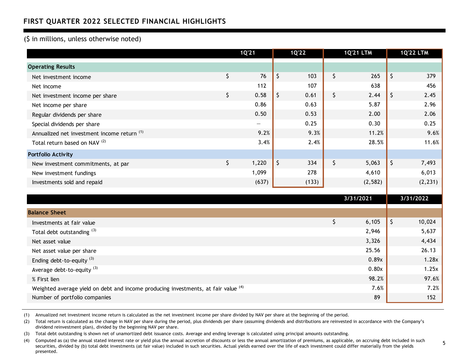## **FIRST QUARTER 2022 SELECTED FINANCIAL HIGHLIGHTS**

#### (\$ in millions, unless otherwise noted)

|                                                                                               | 1Q'21             |    | $1Q'22$ | <b>1Q'21 LTM</b> |         | <b>1Q'22 LTM</b> |
|-----------------------------------------------------------------------------------------------|-------------------|----|---------|------------------|---------|------------------|
| <b>Operating Results</b>                                                                      |                   |    |         |                  |         |                  |
| Net investment income                                                                         | \$<br>76          | \$ | 103     | \$<br>265        | $\zeta$ | 379              |
| Net income                                                                                    | 112               |    | 107     | 638              |         | 456              |
| Net investment income per share                                                               | \$<br>0.58        | \$ | 0.61    | \$<br>2.44       | \$      | 2.45             |
| Net income per share                                                                          | 0.86              |    | 0.63    | 5.87             |         | 2.96             |
| Regular dividends per share                                                                   | 0.50              |    | 0.53    | 2.00             |         | 2.06             |
| Special dividends per share                                                                   | $\qquad \qquad -$ |    | 0.25    | 0.30             |         | 0.25             |
| Annualized net investment income return <sup>(1)</sup>                                        | 9.2%              |    | 9.3%    | 11.2%            |         | 9.6%             |
| Total return based on NAV <sup>(2)</sup>                                                      | 3.4%              |    | 2.4%    | 28.5%            |         | 11.6%            |
| <b>Portfolio Activity</b>                                                                     |                   |    |         |                  |         |                  |
| New investment commitments, at par                                                            | \$<br>1,220       | \$ | 334     | \$<br>5,063      | \$      | 7,493            |
| New investment fundings                                                                       | 1,099             |    | 278     | 4,610            |         | 6,013            |
| Investments sold and repaid                                                                   | (637)             |    | (133)   | (2, 582)         |         | (2, 231)         |
|                                                                                               |                   |    |         | 3/31/2021        |         | 3/31/2022        |
| <b>Balance Sheet</b>                                                                          |                   |    |         |                  |         |                  |
| Investments at fair value                                                                     |                   |    |         | \$<br>6,105      | \$      | 10,024           |
| Total debt outstanding (3)                                                                    |                   |    |         | 2,946            |         | 5,637            |
| Net asset value                                                                               |                   |    |         | 3,326            |         | 4,434            |
| Net asset value per share                                                                     |                   |    |         | 25.56            |         | 26.13            |
| Ending debt-to-equity <sup>(3)</sup>                                                          |                   |    |         | 0.89x            |         | 1.28x            |
| Average debt-to-equity <sup>(3)</sup>                                                         |                   |    |         | 0.80x            |         | 1.25x            |
| % First lien                                                                                  |                   |    |         | 98.2%            |         | 97.6%            |
| Weighted average yield on debt and income producing investments, at fair value <sup>(4)</sup> |                   |    |         | 7.6%             |         | 7.2%             |
| Number of portfolio companies                                                                 |                   |    |         | 89               |         | 152              |

(1) Annualized net investment income return is calculated as the net investment income per share divided by NAV per share at the beginning of the period.

(2) Total return is calculated as the change in NAV per share during the period, plus dividends per share (assuming dividends and distributions are reinvested in accordance with the Company's dividend reinvestment plan), divided by the beginning NAV per share.

(3) Total debt outstanding is shown net of unamortized debt issuance costs. Average and ending leverage is calculated using principal amounts outstanding.

(4) Computed as (a) the annual stated interest rate or yield plus the annual accretion of discounts or less the annual amortization of premiums, as applicable, on accruing debt included in such securities, divided by (b) total debt investments (at fair value) included in such securities. Actual yields earned over the life of each investment could differ materially from the yields presented.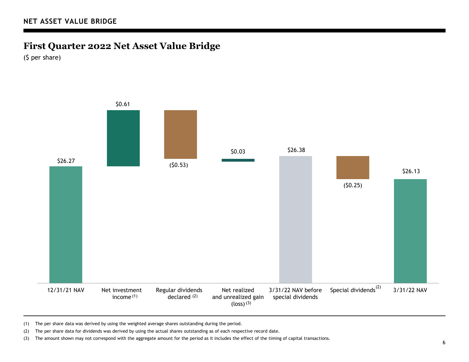## **First Quarter 2022 Net Asset Value Bridge**

(\$ per share)



(1) The per share data was derived by using the weighted average shares outstanding during the period.

(2) The per share data for dividends was derived by using the actual shares outstanding as of each respective record date.

(3) The amount shown may not correspond with the aggregate amount for the period as it includes the effect of the timing of capital transactions.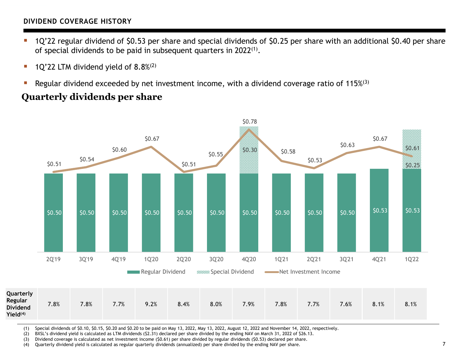## **DIVIDEND COVERAGE HISTORY**

- ▉ 1Q'22 regular dividend of \$0.53 per share and special dividends of \$0.25 per share with an additional \$0.40 per share of special dividends to be paid in subsequent quarters in 2022<sup>(1)</sup>.
- П 1Q'22 LTM dividend yield of 8.8%(2)
- L. Regular dividend exceeded by net investment income, with a dividend coverage ratio of 115%<sup>(3)</sup>

## **Quarterly dividends per share**



(1) Special dividends of \$0.10, \$0.15, \$0.20 and \$0.20 to be paid on May 13, 2022, May 13, 2022, August 12, 2022 and November 14, 2022, respectively.

(2) BXSL's dividend yield is calculated as LTM dividends (\$2.31) declared per share divided by the ending NAV on March 31, 2022 of \$26.13.

(3) Dividend coverage is calculated as net investment income (\$0.61) per share divided by regular dividends (\$0.53) declared per share.

(4) Quarterly dividend yield is calculated as regular quarterly dividends (annualized) per share divided by the ending NAV per share. 7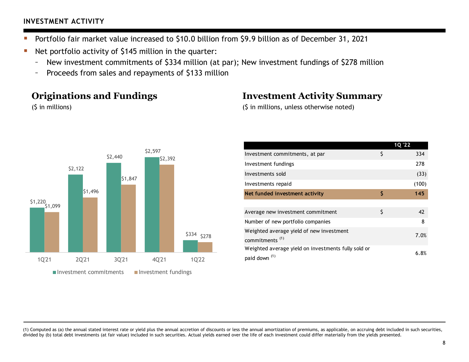## **INVESTMENT ACTIVITY**

- T. Portfolio fair market value increased to \$10.0 billion from \$9.9 billion as of December 31, 2021
- П Net portfolio activity of \$145 million in the quarter:
	- –New investment commitments of \$334 million (at par); New investment fundings of \$278 million
	- –Proceeds from sales and repayments of \$133 million

## **Originations and Fundings**

(\$ in millions)



## **Investment Activity Summary**

(\$ in millions, unless otherwise noted)

|                                                                                 | 1Q '22    |
|---------------------------------------------------------------------------------|-----------|
| Investment commitments, at par                                                  | \$<br>334 |
| Investment fundings                                                             | 278       |
| Investments sold                                                                | (33)      |
| Investments repaid                                                              | (100)     |
| Net funded investment activity                                                  | \$<br>145 |
|                                                                                 |           |
| Average new investment commitment                                               | \$<br>42  |
| Number of new portfolio companies                                               | 8         |
| Weighted average yield of new investment                                        | 7.0%      |
| commitments <sup>(1)</sup>                                                      |           |
| Weighted average yield on investments fully sold or<br>paid down <sup>(1)</sup> | 6.8%      |

(1) Computed as (a) the annual stated interest rate or yield plus the annual accretion of discounts or less the annual amortization of premiums, as applicable, on accruing debt included in such securities, divided by (b) total debt investments (at fair value) included in such securities. Actual yields earned over the life of each investment could differ materially from the yields presented.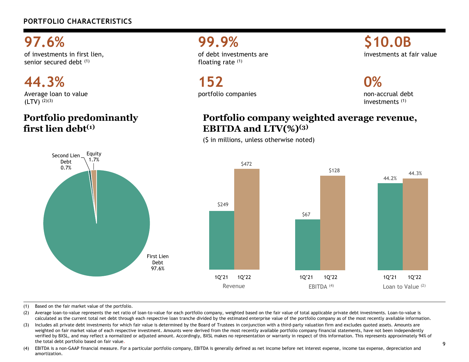## **PORTFOLIO CHARACTERISTICS**

**97.6%**

of investments in first lien, senior secured debt (1)

**44.3%**Average loan to value  $(LTV)$   $(2)(3)$ 

## **Portfolio predominantly first lien debt(1)**

**99.9%**of debt investments are floating rate (1)

**152**portfolio companies

## **\$10.0B** investments at fair value

**0%**

non-accrual debt investments (1)

## **Portfolio company weighted average revenue, EBITDA and LTV(%)(3)**

(\$ in millions, unless otherwise noted)



(1) Based on the fair market value of the portfolio.

(2) Average loan-to-value represents the net ratio of loan-to-value for each portfolio company, weighted based on the fair value of total applicable private debt investments. Loan-to-value is calculated as the current total net debt through each respective loan tranche divided by the estimated enterprise value of the portfolio company as of the most recently available information.

(3) Includes all private debt investments for which fair value is determined by the Board of Trustees in conjunction with a third-party valuation firm and excludes quoted assets. Amounts are weighted on fair market value of each respective investment. Amounts were derived from the most recently available portfolio company financial statements, have not been independently verified by BXSL, and may reflect a normalized or adjusted amount. Accordingly, BXSL makes no representation or warranty in respect of this information. This represents approximately 94% of the total debt portfolio based on fair value.

(4) EBITDA is a non-GAAP financial measure. For a particular portfolio company, EBITDA is generally defined as net income before net interest expense, income tax expense, depreciation and amortization.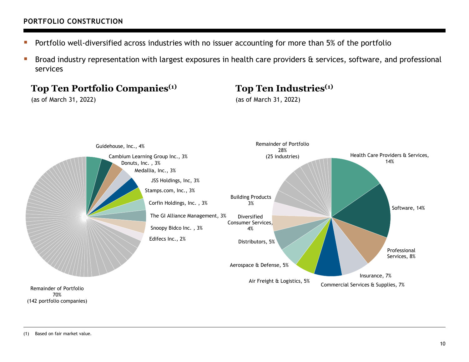## **PORTFOLIO CONSTRUCTION**

- $\mathbb{R}^n$ Portfolio well-diversified across industries with no issuer accounting for more than 5% of the portfolio
- $\mathcal{L}_{\mathcal{A}}$  Broad industry representation with largest exposures in health care providers & services, software, and professional services

## **Top Ten Portfolio Companies(1)**

(as of March 31, 2022)

## **Top Ten Industries(1)**

(as of March 31, 2022)



(142 portfolio companies)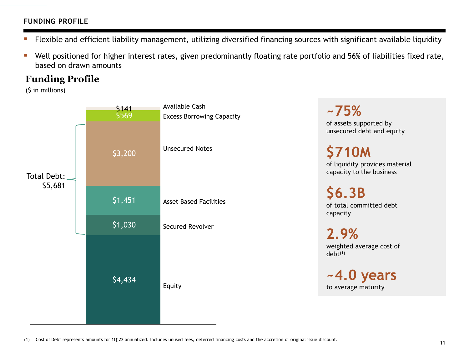## **FUNDING PROFILE**

- Т. Flexible and efficient liability management, utilizing diversified financing sources with significant available liquidity
- T. Well positioned for higher interest rates, given predominantly floating rate portfolio and 56% of liabilities fixed rate, based on drawn amounts

## **Funding Profile**

(\$ in millions)



(1) Cost of Debt represents amounts for 1Q'22 annualized. Includes unused fees, deferred financing costs and the accretion of original issue discount.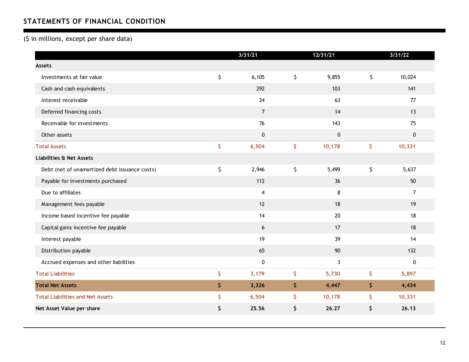## **STATEMENTS OF FINANCIAL CONDITION**

#### (\$ in millions, except per share data)

|                                               | 3/31/21        |         | 12/31/21     | 3/31/22        |
|-----------------------------------------------|----------------|---------|--------------|----------------|
| <b>Assets</b>                                 |                |         |              |                |
| Investments at fair value                     | \$<br>6,105    | $\zeta$ | 9,855        | \$<br>10,024   |
| Cash and cash equivalents                     | 292            |         | 103          | 141            |
| Interest receivable                           | 24             |         | 63           | 77             |
| Deferred financing costs                      | $\overline{7}$ |         | 14           | 13             |
| Receivable for investments                    | 76             |         | 143          | 75             |
| Other assets                                  | $\pmb{0}$      |         | $\pmb{0}$    | $\mathbf 0$    |
| <b>Total Assets</b>                           | \$<br>6,504    | \$      | 10,178       | \$<br>10,331   |
| <b>Liabilities &amp; Net Assets</b>           |                |         |              |                |
| Debt (net of unamortized debt issuance costs) | \$<br>2,946    | \$      | 5,499        | \$<br>5,637    |
| Payable for investments purchased             | 112            |         | 36           | 50             |
| Due to affiliates                             | $\overline{4}$ |         | 8            | $\overline{7}$ |
| Management fees payable                       | 12             |         | 18           | 19             |
| Income based incentive fee payable            | 14             |         | 20           | 18             |
| Capital gains incentive fee payable           | 6              |         | 17           | 18             |
| Interest payable                              | 19             |         | 39           | 14             |
| Distribution payable                          | 65             |         | 90           | 132            |
| Accrued expenses and other liabilities        | $\pmb{0}$      |         | $\mathbf{3}$ | $\pmb{0}$      |
| <b>Total Liabilities</b>                      | \$<br>3,179    | \$      | 5,730        | \$<br>5,897    |
| <b>Total Net Assets</b>                       | \$<br>3,326    | \$      | 4,447        | \$<br>4,434    |
| <b>Total Liabilities and Net Assets</b>       | \$<br>6,504    | \$      | 10,178       | \$<br>10,331   |
| Net Asset Value per share                     | \$<br>25.56    | \$      | 26.27        | \$<br>26.13    |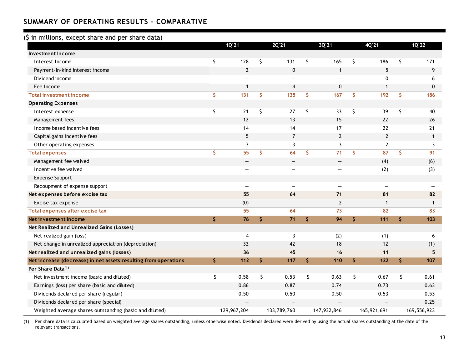### **SUMMARY OF OPERATING RESULTS – COMPARATIVE**

#### (\$ in millions, except share and per share data)

|                                                                 |     | 1Q'21                    | 2Q'21                    | 3Q'21                    |     | 4Q'21                    | 1Q'22        |
|-----------------------------------------------------------------|-----|--------------------------|--------------------------|--------------------------|-----|--------------------------|--------------|
| Investment Income                                               |     |                          |                          |                          |     |                          |              |
| Interest Income                                                 | \$  | 128                      | \$<br>131                | \$<br>165                | \$  | 186                      | \$<br>171    |
| Payment-in-kind interest income                                 |     | $\overline{2}$           | $\mathbf 0$              | $\mathbf{1}$             |     | 5                        | 9            |
| Dividend income                                                 |     |                          | $\overline{\phantom{0}}$ | $\overline{\phantom{0}}$ |     | 0                        | 6            |
| Fee Income                                                      |     | $\mathbf 1$              | 4                        | 0                        |     | 1                        | 0            |
| <b>Total investment income</b>                                  | \$  | 131                      | \$<br>135                | \$<br>167                | \$  | 192                      | \$<br>186    |
| <b>Operating Expenses</b>                                       |     |                          |                          |                          |     |                          |              |
| Interest expense                                                | \$  | 21                       | \$<br>27                 | \$<br>33                 | \$  | 39                       | \$<br>40     |
| Management fees                                                 |     | 12                       | 13                       | 15                       |     | 22                       | 26           |
| Income based incentive fees                                     |     | 14                       | 14                       | 17                       |     | 22                       | 21           |
| Capital gains incentive fees                                    |     | 5                        | $\overline{7}$           | $\overline{2}$           |     | $\overline{2}$           | $\mathbf{1}$ |
| Other operating expenses                                        |     | 3                        | 3                        | 3                        |     | $\overline{2}$           | 3            |
| <b>Total expenses</b>                                           | \$  | 55                       | \$<br>64                 | \$<br>71                 | \$. | 87                       | \$<br>91     |
| Management fee waived                                           |     | $\overline{\phantom{0}}$ | $\overline{\phantom{0}}$ | $\overline{\phantom{0}}$ |     | (4)                      | (6)          |
| Incentive fee waived                                            |     |                          | $\overline{\phantom{0}}$ | $\overline{\phantom{0}}$ |     | (2)                      | (3)          |
| <b>Expense Support</b>                                          |     |                          | $\overline{\phantom{0}}$ | $\overline{\phantom{0}}$ |     | $\overline{\phantom{m}}$ |              |
| Recoupment of expense support                                   |     |                          | —                        | $\overline{\phantom{0}}$ |     | $\overline{\phantom{0}}$ |              |
| Net expenses before excise tax                                  |     | 55                       | 64                       | 71                       |     | 81                       | 82           |
| Excise tax expense                                              |     | (0)                      |                          | $\overline{2}$           |     | $\mathbf 1$              | $\mathbf{1}$ |
| Total expenses after excise tax                                 |     | 55                       | 64                       | 73                       |     | 82                       | 83           |
| Net investment income                                           | \$  | 76                       | \$<br>71                 | \$<br>94                 | \$  | 111                      | \$<br>103    |
| Net Realized and Unrealized Gains (Losses)                      |     |                          |                          |                          |     |                          |              |
| Net realized gain (loss)                                        |     | $\overline{4}$           | 3                        | (2)                      |     | (1)                      | 6            |
| Net change in unrealized appreciation (depreciation)            |     | 32                       | 42                       | 18                       |     | 12                       | (1)          |
| Net realized and unrealized gains (losses)                      |     | 36                       | 45                       | 16                       |     | 11                       | 5            |
| Net increase (decrease) in net assets resulting from operations | \$. | 112                      | \$<br>117                | \$<br>110                | \$  | 122                      | \$<br>107    |
| Per Share Data <sup>(1)</sup>                                   |     |                          |                          |                          |     |                          |              |
| Net investment income (basic and diluted)                       | \$  | 0.58                     | \$<br>0.53               | \$<br>0.63               | \$  | 0.67                     | \$<br>0.61   |
| Earnings (loss) per share (basic and diluted)                   |     | 0.86                     | 0.87                     | 0.74                     |     | 0.73                     | 0.63         |
| Dividends declared per share (regular)                          |     | 0.50                     | 0.50                     | 0.50                     |     | 0.53                     | 0.53         |
| Dividends declared per share (special)                          |     |                          |                          |                          |     |                          | 0.25         |
| Weighted average shares outstanding (basic and diluted)         |     | 129,967,204              | 133,789,760              | 147,932,846              |     | 165,921,691              | 169,556,923  |

(1) Per share data is calculated based on weighted average shares outstanding, unless otherwise noted. Dividends declared were derived by using the actual shares outstanding at the date of the relevant transactions.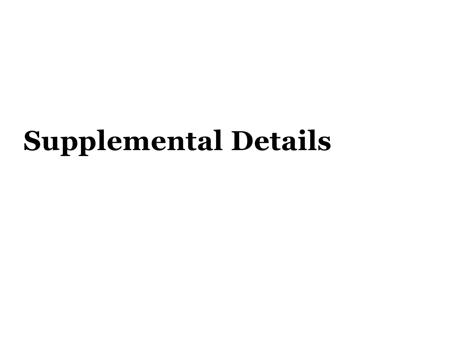# **Supplemental Details**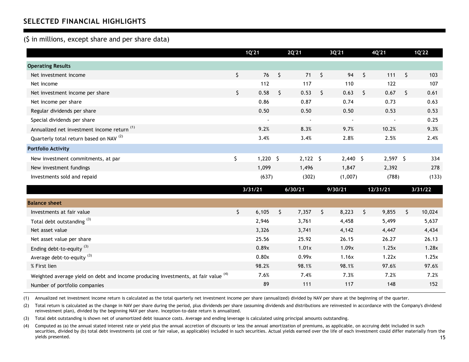## **SELECTED FINANCIAL HIGHLIGHTS**

#### (\$ in millions, except share and per share data)

|                                                                                               | 1Q'21            |         | 2Q'21      |         | 3Q'21      |         | 4Q'21      |         | 1Q'22   |
|-----------------------------------------------------------------------------------------------|------------------|---------|------------|---------|------------|---------|------------|---------|---------|
| <b>Operating Results</b>                                                                      |                  |         |            |         |            |         |            |         |         |
| Net investment income                                                                         | \$<br>76         | $\zeta$ | 71         | $\zeta$ | 94         | $\zeta$ | 111        | $\zeta$ | 103     |
| Net income                                                                                    | 112              |         | 117        |         | 110        |         | 122        |         | 107     |
| Net investment income per share                                                               | \$<br>0.58       | $\zeta$ | 0.53       | \$      | 0.63       | \$      | 0.67       | \$      | 0.61    |
| Net income per share                                                                          | 0.86             |         | 0.87       |         | 0.74       |         | 0.73       |         | 0.63    |
| Regular dividends per share                                                                   | 0.50             |         | 0.50       |         | 0.50       |         | 0.53       |         | 0.53    |
| Special dividends per share                                                                   |                  |         |            |         |            |         |            |         | 0.25    |
| Annualized net investment income return <sup>(1)</sup>                                        | 9.2%             |         | 8.3%       |         | 9.7%       |         | 10.2%      |         | 9.3%    |
| Quarterly total return based on NAV <sup>(2)</sup>                                            | 3.4%             |         | 3.4%       |         | 2.8%       |         | 2.5%       |         | 2.4%    |
| <b>Portfolio Activity</b>                                                                     |                  |         |            |         |            |         |            |         |         |
| New investment commitments, at par                                                            | \$<br>$1,220$ \$ |         | $2,122$ \$ |         | $2,440$ \$ |         | $2,597$ \$ |         | 334     |
| New investment fundings                                                                       | 1,099            |         | 1,496      |         | 1,847      |         | 2,392      |         | 278     |
| Investments sold and repaid                                                                   | (637)            |         | (302)      |         | (1,007)    |         | (788)      |         | (133)   |
|                                                                                               | 3/31/21          |         | 6/30/21    |         | 9/30/21    |         | 12/31/21   |         | 3/31/22 |
| <b>Balance sheet</b>                                                                          |                  |         |            |         |            |         |            |         |         |
| Investments at fair value                                                                     | \$<br>6,105      | $\zeta$ | 7,357      | \$      | 8,223      | \$      | 9,855      | \$      | 10,024  |
| Total debt outstanding <sup>(3)</sup>                                                         | 2,946            |         | 3,761      |         | 4,458      |         | 5,499      |         | 5,637   |
| Net asset value                                                                               | 3,326            |         | 3,741      |         | 4,142      |         | 4,447      |         | 4,434   |
| Net asset value per share                                                                     | 25.56            |         | 25.92      |         | 26.15      |         | 26.27      |         | 26.13   |
| Ending debt-to-equity $^{(3)}$                                                                | 0.89x            |         | 1.01x      |         | 1.09x      |         | 1.25x      |         | 1.28x   |
| Average debt-to-equity <sup>(3)</sup>                                                         | 0.80x            |         | 0.99x      |         | 1.16x      |         | 1.22x      |         | 1.25x   |
| % First lien                                                                                  | 98.2%            |         | 98.1%      |         | 98.1%      |         | 97.6%      |         | 97.6%   |
| Weighted average yield on debt and income producing investments, at fair value <sup>(4)</sup> | 7.6%             |         | 7.4%       |         | 7.3%       |         | 7.2%       |         | 7.2%    |

(1) Annualized net investment income return is calculated as the total quarterly net investment income per share (annualized) divided by NAV per share at the beginning of the quarter.

(2) Total return is calculated as the change in NAV per share during the period, plus dividends per share (assuming dividends and distributions are reinvested in accordance with the Company's dividend reinvestment plan), divided by the beginning NAV per share. Inception-to-date return is annualized.

Number of portfolio companies and the state of portfolio companies and the state of the state of the state of the state of the state of the state of the state of the state of the state of the state of the state of the stat

(3) Total debt outstanding is shown net of unamortized debt issuance costs. Average and ending leverage is calculated using principal amounts outstanding.

(4) Computed as (a) the annual stated interest rate or yield plus the annual accretion of discounts or less the annual amortization of premiums, as applicable, on accruing debt included in such securities, divided by (b) total debt investments (at cost or fair value, as applicable) included in such securities. Actual yields earned over the life of each investment could differ materially from the yields presented. yields presented. 1515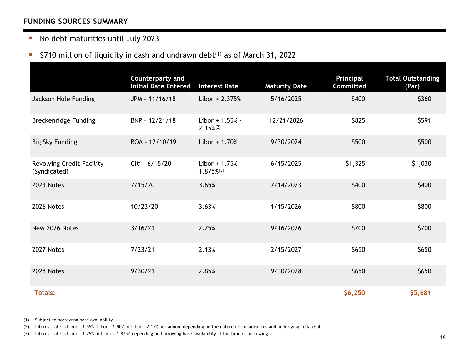### **FUNDING SOURCES SUMMARY**

### ■ No debt maturities until July 2023

#### i. \$710 million of liquidity in cash and undrawn debt $(1)$  as of March 31, 2022

|                                           | Counterparty and<br><b>Initial Date Entered</b> | <b>Interest Rate</b>               | <b>Maturity Date</b> | Principal<br><b>Committed</b> | <b>Total Outstanding</b><br>(Par) |
|-------------------------------------------|-------------------------------------------------|------------------------------------|----------------------|-------------------------------|-----------------------------------|
| Jackson Hole Funding                      | JPM - 11/16/18                                  | $Libor + 2.375%$                   | 5/16/2025            | \$400                         | \$360                             |
| <b>Breckenridge Funding</b>               | BNP - 12/21/18                                  | Libor + 1.55% -<br>$2.15\%^{(2)}$  | 12/21/2026           | \$825                         | \$591                             |
| <b>Big Sky Funding</b>                    | BOA - 12/10/19                                  | Libor $+1.70%$                     | 9/30/2024            | \$500                         | \$500                             |
| Revolving Credit Facility<br>(Syndicated) | Citi - 6/15/20                                  | Libor + 1.75% -<br>$1.875\%^{(3)}$ | 6/15/2025            | \$1,325                       | \$1,030                           |
| 2023 Notes                                | 7/15/20                                         | 3.65%                              | 7/14/2023            | \$400                         | \$400                             |
| 2026 Notes                                | 10/23/20                                        | 3.63%                              | 1/15/2026            | \$800                         | \$800                             |
| New 2026 Notes                            | 3/16/21                                         | 2.75%                              | 9/16/2026            | \$700                         | \$700                             |
| 2027 Notes                                | 7/23/21                                         | 2.13%                              | 2/15/2027            | \$650                         | \$650                             |
| 2028 Notes                                | 9/30/21                                         | 2.85%                              | 9/30/2028            | \$650                         | \$650                             |
| <b>Totals:</b>                            |                                                 |                                    |                      | \$6,250                       | \$5,681                           |

(1) Subject to borrowing base availability

(2) Interest rate is Libor + 1.55%, Libor + 1.90% or Libor + 2.15% per annum depending on the nature of the advances and underlying collateral.

(3) Interest rate is Libor + 1.75% or Libor + 1.875% depending on borrowing base availability at the time of borrowing. 16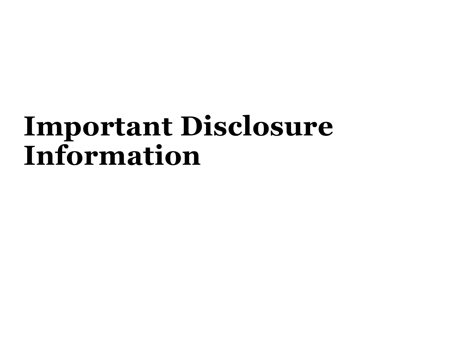## **Important Disclosure Information**